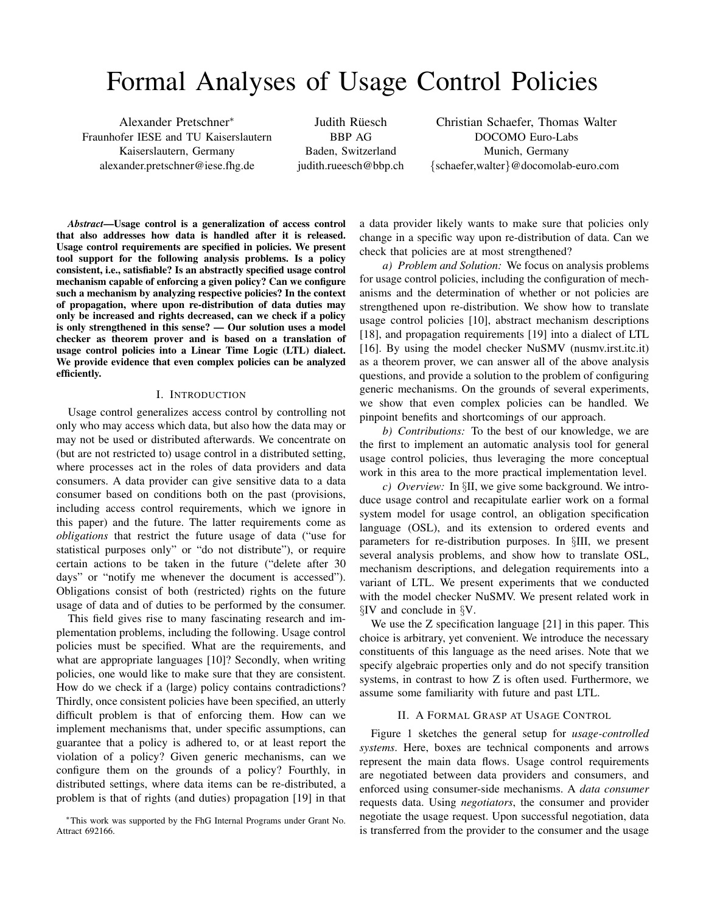# Formal Analyses of Usage Control Policies

Alexander Pretschner<sup>∗</sup> Fraunhofer IESE and TU Kaiserslautern Kaiserslautern, Germany alexander.pretschner@iese.fhg.de

Judith Rüesch BBP AG Baden, Switzerland judith.rueesch@bbp.ch

Christian Schaefer, Thomas Walter DOCOMO Euro-Labs Munich, Germany {schaefer,walter}@docomolab-euro.com

*Abstract*—Usage control is a generalization of access control that also addresses how data is handled after it is released. Usage control requirements are specified in policies. We present tool support for the following analysis problems. Is a policy consistent, i.e., satisfiable? Is an abstractly specified usage control mechanism capable of enforcing a given policy? Can we configure such a mechanism by analyzing respective policies? In the context of propagation, where upon re-distribution of data duties may only be increased and rights decreased, can we check if a policy is only strengthened in this sense? — Our solution uses a model checker as theorem prover and is based on a translation of usage control policies into a Linear Time Logic (LTL) dialect. We provide evidence that even complex policies can be analyzed efficiently.

## I. INTRODUCTION

Usage control generalizes access control by controlling not only who may access which data, but also how the data may or may not be used or distributed afterwards. We concentrate on (but are not restricted to) usage control in a distributed setting, where processes act in the roles of data providers and data consumers. A data provider can give sensitive data to a data consumer based on conditions both on the past (provisions, including access control requirements, which we ignore in this paper) and the future. The latter requirements come as *obligations* that restrict the future usage of data ("use for statistical purposes only" or "do not distribute"), or require certain actions to be taken in the future ("delete after 30 days" or "notify me whenever the document is accessed"). Obligations consist of both (restricted) rights on the future usage of data and of duties to be performed by the consumer.

This field gives rise to many fascinating research and implementation problems, including the following. Usage control policies must be specified. What are the requirements, and what are appropriate languages [10]? Secondly, when writing policies, one would like to make sure that they are consistent. How do we check if a (large) policy contains contradictions? Thirdly, once consistent policies have been specified, an utterly difficult problem is that of enforcing them. How can we implement mechanisms that, under specific assumptions, can guarantee that a policy is adhered to, or at least report the violation of a policy? Given generic mechanisms, can we configure them on the grounds of a policy? Fourthly, in distributed settings, where data items can be re-distributed, a problem is that of rights (and duties) propagation [19] in that

<sup>∗</sup>This work was supported by the FhG Internal Programs under Grant No. Attract 692166.

a data provider likely wants to make sure that policies only change in a specific way upon re-distribution of data. Can we check that policies are at most strengthened?

*a) Problem and Solution:* We focus on analysis problems for usage control policies, including the configuration of mechanisms and the determination of whether or not policies are strengthened upon re-distribution. We show how to translate usage control policies [10], abstract mechanism descriptions [18], and propagation requirements [19] into a dialect of LTL [16]. By using the model checker NuSMV (nusmv.irst.itc.it) as a theorem prover, we can answer all of the above analysis questions, and provide a solution to the problem of configuring generic mechanisms. On the grounds of several experiments, we show that even complex policies can be handled. We pinpoint benefits and shortcomings of our approach.

*b) Contributions:* To the best of our knowledge, we are the first to implement an automatic analysis tool for general usage control policies, thus leveraging the more conceptual work in this area to the more practical implementation level.

*c) Overview:* In §II, we give some background. We introduce usage control and recapitulate earlier work on a formal system model for usage control, an obligation specification language (OSL), and its extension to ordered events and parameters for re-distribution purposes. In §III, we present several analysis problems, and show how to translate OSL, mechanism descriptions, and delegation requirements into a variant of LTL. We present experiments that we conducted with the model checker NuSMV. We present related work in §IV and conclude in §V.

We use the Z specification language [21] in this paper. This choice is arbitrary, yet convenient. We introduce the necessary constituents of this language as the need arises. Note that we specify algebraic properties only and do not specify transition systems, in contrast to how Z is often used. Furthermore, we assume some familiarity with future and past LTL.

## II. A FORMAL GRASP AT USAGE CONTROL

Figure 1 sketches the general setup for *usage-controlled systems*. Here, boxes are technical components and arrows represent the main data flows. Usage control requirements are negotiated between data providers and consumers, and enforced using consumer-side mechanisms. A *data consumer* requests data. Using *negotiators*, the consumer and provider negotiate the usage request. Upon successful negotiation, data is transferred from the provider to the consumer and the usage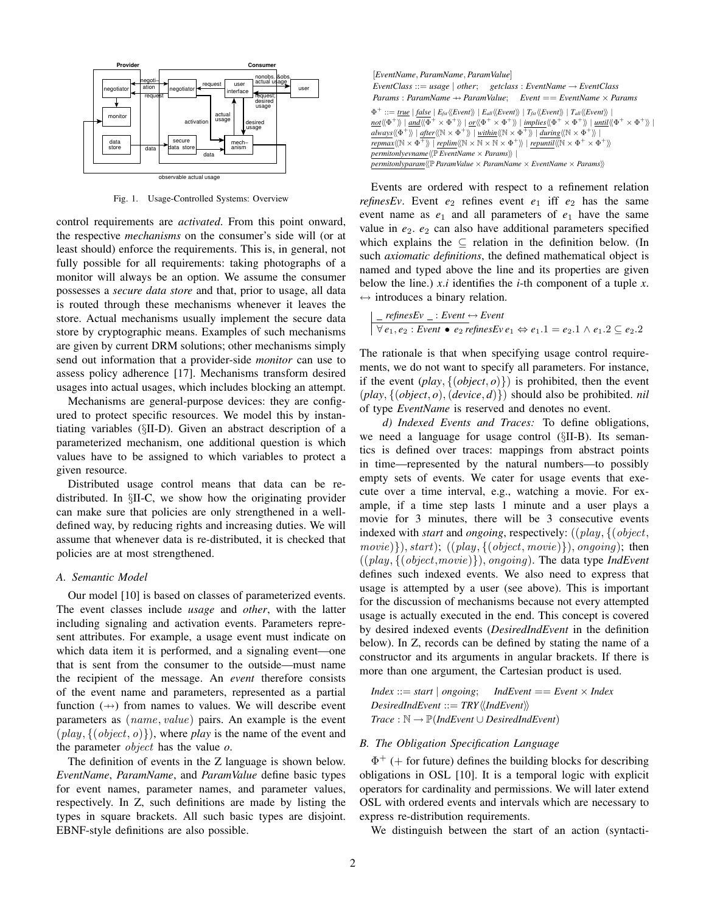

Fig. 1. Usage-Controlled Systems: Overview

control requirements are *activated*. From this point onward, the respective *mechanisms* on the consumer's side will (or at least should) enforce the requirements. This is, in general, not fully possible for all requirements: taking photographs of a monitor will always be an option. We assume the consumer possesses a *secure data store* and that, prior to usage, all data is routed through these mechanisms whenever it leaves the store. Actual mechanisms usually implement the secure data store by cryptographic means. Examples of such mechanisms are given by current DRM solutions; other mechanisms simply send out information that a provider-side *monitor* can use to assess policy adherence [17]. Mechanisms transform desired usages into actual usages, which includes blocking an attempt.

Mechanisms are general-purpose devices: they are configured to protect specific resources. We model this by instantiating variables (§II-D). Given an abstract description of a parameterized mechanism, one additional question is which values have to be assigned to which variables to protect a given resource.

Distributed usage control means that data can be redistributed. In §II-C, we show how the originating provider can make sure that policies are only strengthened in a welldefined way, by reducing rights and increasing duties. We will assume that whenever data is re-distributed, it is checked that policies are at most strengthened.

## *A. Semantic Model*

Our model [10] is based on classes of parameterized events. The event classes include *usage* and *other*, with the latter including signaling and activation events. Parameters represent attributes. For example, a usage event must indicate on which data item it is performed, and a signaling event—one that is sent from the consumer to the outside—must name the recipient of the message. An *event* therefore consists of the event name and parameters, represented as a partial function  $(+)$  from names to values. We will describe event parameters as (name, value) pairs. An example is the event  $(\text{play}, \{(\text{object}, o)\})$ , where *play* is the name of the event and the parameter object has the value *o*.

The definition of events in the Z language is shown below. *EventName*, *ParamName*, and *ParamValue* define basic types for event names, parameter names, and parameter values, respectively. In Z, such definitions are made by listing the types in square brackets. All such basic types are disjoint. EBNF-style definitions are also possible.

| [EventName, ParamName, ParamValue]                                                                                                                                                                                                                                                   |
|--------------------------------------------------------------------------------------------------------------------------------------------------------------------------------------------------------------------------------------------------------------------------------------|
| EventClass ::= usage   other; getclass : EventName $\rightarrow$ EventClass                                                                                                                                                                                                          |
| Params: ParamName $\rightarrow$ ParamValue: Event $==$ EventName $\times$ Params                                                                                                                                                                                                     |
| $\Phi^+ ::= true \mid false \mid E_{fst} \langle \langle Event \rangle \rangle \mid E_{all} \langle \langle Event \rangle \rangle \mid T_{fst} \langle \langle Event \rangle \rangle \mid T_{all} \langle \langle Event \rangle \rangle \mid$                                        |
| $\underline{not}\langle\langle\Phi^+\rangle\rangle$   and $\langle\langle\Phi^+\times\Phi^+\rangle\rangle$   or $\langle\langle\Phi^+\times\Phi^+\rangle\rangle$   implies $\langle\langle\Phi^+\times\Phi^+\rangle\rangle$   until $\langle\langle\Phi^+\times\Phi^+\rangle\rangle$ |
| always $\langle \langle \Phi^+ \rangle \rangle$   after $\langle \langle \mathbb{N} \times \Phi^+ \rangle \rangle$   within $\langle \langle \mathbb{N} \times \Phi^+ \rangle \rangle$   during $\langle \langle \mathbb{N} \times \Phi^+ \rangle \rangle$                           |
| repmax $\langle \langle \mathbb{N} \times \Phi^+ \rangle \rangle$   replim $\langle \langle \mathbb{N} \times \mathbb{N} \times \mathbb{N} \times \Phi^+ \rangle \rangle$   repuntil $\langle \langle \mathbb{N} \times \Phi^+ \times \Phi^+ \rangle \rangle$                        |
| <i>permitonlyevname</i> $\langle \rangle$ <i>EventName</i> $\times$ <i>Params</i> $\rangle$                                                                                                                                                                                          |
| permitonlyparam $\langle \langle \mathbb{P}$ ParamValue $\times$ ParamName $\times$ EventName $\times$ Params $\rangle\rangle$                                                                                                                                                       |

Events are ordered with respect to a refinement relation *refinesEv*. Event  $e_2$  refines event  $e_1$  iff  $e_2$  has the same event name as  $e_1$  and all parameters of  $e_1$  have the same value in  $e_2$ .  $e_2$  can also have additional parameters specified which explains the  $\subseteq$  relation in the definition below. (In such *axiomatic definitions*, the defined mathematical object is named and typed above the line and its properties are given below the line.)  $x.i$  identifies the *i*-th component of a tuple  $x$ .  $\leftrightarrow$  introduces a binary relation.

$$
\left| \frac{\text{refinesEv}_{-}:Event \leftrightarrow Event}{\forall e_1, e_2 : Event \bullet e_2 \text{refinesEv } e_1 \Leftrightarrow e_1.1 = e_2.1 \land e_1.2 \subseteq e_2.2 \right|
$$

The rationale is that when specifying usage control requirements, we do not want to specify all parameters. For instance, if the event  $(\text{play}, \{(\text{object}, o)\})$  is prohibited, then the event  $(\textit{play}, \{(\textit{object}, o), (\textit{device}, d)\})$  should also be prohibited. *nil* of type *EventName* is reserved and denotes no event.

*d) Indexed Events and Traces:* To define obligations, we need a language for usage control (§II-B). Its semantics is defined over traces: mappings from abstract points in time—represented by the natural numbers—to possibly empty sets of events. We cater for usage events that execute over a time interval, e.g., watching a movie. For example, if a time step lasts 1 minute and a user plays a movie for 3 minutes, there will be 3 consecutive events indexed with *start* and *ongoing*, respectively: ((play, {(object,  $movie)$ , start);  $((play, {(object, movie)}), ongoing);$  then ((play, {(object,movie)}), ongoing). The data type *IndEvent* defines such indexed events. We also need to express that usage is attempted by a user (see above). This is important for the discussion of mechanisms because not every attempted usage is actually executed in the end. This concept is covered by desired indexed events (*DesiredIndEvent* in the definition below). In Z, records can be defined by stating the name of a constructor and its arguments in angular brackets. If there is more than one argument, the Cartesian product is used.

*Index* ::= *start* | *ongoing*; *IndEvent* == *Event*  $\times$  *Index DesiredIndEvent* ::= *TRY*  $\langle$ *IndEvent* $\rangle$  $Trace: \mathbb{N} \rightarrow \mathbb{P}(IndEvent \cup DesiredIndEvent)$ 

## *B. The Obligation Specification Language*

 $\Phi^+$  (+ for future) defines the building blocks for describing obligations in OSL [10]. It is a temporal logic with explicit operators for cardinality and permissions. We will later extend OSL with ordered events and intervals which are necessary to express re-distribution requirements.

We distinguish between the start of an action (syntacti-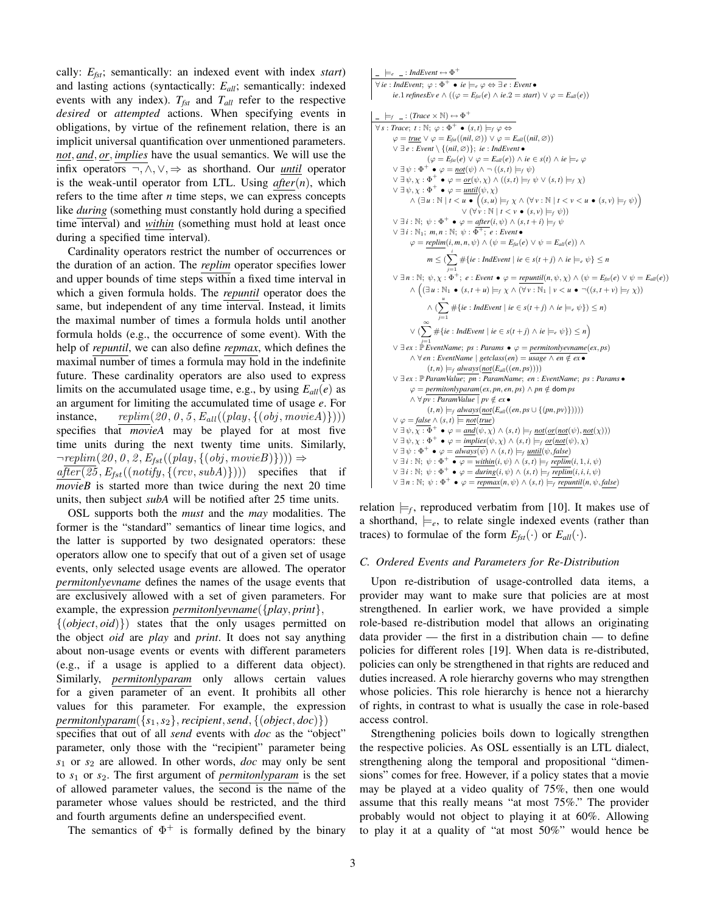cally: *Efst*; semantically: an indexed event with index *start*) and lasting actions (syntactically: *Eall*; semantically: indexed events with any index).  $T_{fst}$  and  $T_{all}$  refer to the respective *desired* or *attempted* actions. When specifying events in obligations, by virtue of the refinement relation, there is an implicit universal quantification over unmentioned parameters. *not*, *and*, *or*, *implies* have the usual semantics. We will use the infix operators ¬, ∧, ∨, ⇒ as shorthand. Our *until* operator is the weak-until operator from LTL. Using *after*(*n*), which refers to the time after *n* time steps, we can express concepts like *during* (something must constantly hold during a specified time interval) and *within* (something must hold at least once during a specified time interval).

Cardinality operators restrict the number of occurrences or the duration of an action. The *replim* operator specifies lower and upper bounds of time steps within a fixed time interval in which a given formula holds. The *repuntil* operator does the same, but independent of any time interval. Instead, it limits the maximal number of times a formula holds until another formula holds (e.g., the occurrence of some event). With the help of *repuntil*, we can also define *repmax*, which defines the maximal number of times a formula may hold in the indefinite future. These cardinality operators are also used to express limits on the accumulated usage time, e.g., by using  $E_{all}(e)$  as an argument for limiting the accumulated time of usage *e*. For instance,  $replim(20, 0, 5, E_{all}((play, \{ (obj, movie A) \})))$ specifies that *movieA* may be played for at most five time units during the next twenty time units. Similarly,  $\neg \textit{replim}(20, 0, 2, E_{\textit{fst}}((\textit{play}, \{(obj, movieB)\}))) \Rightarrow$ 

 $after (25, E_{fst}((notify, \{(rcv, subA)\})))$  specifies that if *movieB* is started more than twice during the next 20 time units, then subject *subA* will be notified after 25 time units.

OSL supports both the *must* and the *may* modalities. The former is the "standard" semantics of linear time logics, and the latter is supported by two designated operators: these operators allow one to specify that out of a given set of usage events, only selected usage events are allowed. The operator *permitonlyevname* defines the names of the usage events that are exclusively allowed with a set of given parameters. For example, the expression *permitonlyevname*({*play*, *print*},

{(*object*, *oid*)}) states that the only usages permitted on the object *oid* are *play* and *print*. It does not say anything about non-usage events or events with different parameters (e.g., if a usage is applied to a different data object). Similarly, *permitonlyparam* only allows certain values for a given parameter of an event. It prohibits all other values for this parameter. For example, the expression *permitonlyparam* $({s_1, s_2},$ *recipient,send*,  $({\text{object}, \text{doc})})$ 

specifies that out of all *send* events with *doc* as the "object" parameter, only those with the "recipient" parameter being *s*<sup>1</sup> or *s*<sup>2</sup> are allowed. In other words, *doc* may only be sent to *s*<sup>1</sup> or *s*2. The first argument of *permitonlyparam* is the set of allowed parameter values, the second is the name of the parameter whose values should be restricted, and the third and fourth arguments define an underspecified event.

The semantics of  $\Phi^+$  is formally defined by the binary

```
\models_e \_ : IndEvent \leftrightarrow \Phi^+\forall ie : IndEvent; \varphi : \Phi^+ \bullet ie \models_e \varphi \Leftrightarrow \exists e : Event \bulleti\epsilon.1 refinesEv e \wedge ((\varphi = E_{fst}(e) \wedge ie.2 = start) \vee \varphi = E_{all}(e))
    \modelsf _ : (Trace \times \mathbb{N}) \leftrightarrow \Phi<sup>+</sup>
\forall s : Trace; t : \mathbb{N}; \varphi : \Phi^+ \bullet (s, t) \models_f \varphi \Leftrightarrow\varphi = \underline{true} \vee \varphi = E_{\text{fst}}((\text{nil}, \varnothing)) \vee \varphi = E_{\text{all}}((\text{nil}, \varnothing))∨ ∃ e : Event \ {(nil, ∅)}; ie : IndEvent •
                          (\varphi = E_{\text{fsf}}(e) \lor \varphi = E_{\text{all}}(e)) \land ie \in s(t) \land ie \models_e \varphi∨ ∃ψ : ∅<sup>+</sup> ◦ = <u>not</u>(ψ) ∧ ¬((s, t) |=<sub>f</sub> ψ)\vee ∃ \psi, \chi : \Phi<sup>+</sup> \bullet \varphi = <u>or</u>(\psi, \chi) ∧ ((s, t) \modelsf \psi ∨ (s, t) \modelsf \chi)
         \vee \exists \psi, \chi : \Phi^+ \bullet \varphi = \underline{\text{until}}(\psi, \chi)\wedge (\exists u : \mathbb{N} \mid t < u \bullet ((s, u) \models_f \chi \wedge (\forall v : \mathbb{N} \mid t < v < u \bullet (s, v) \models_f \psi))∨ (∀ \forall \nu : \mathbb{N} | t < \nu • (s, \nu) \models_f \psi)\lor ∃i : ℕ; \psi : \Phi<sup>+</sup> \bullet \varphi = after(i, \psi) ∧ (s, t + i) \modelsf \psi\vee ∃ i : \mathbb{N}_1; m, n : \mathbb{N}; \psi : \overline{\Phi^+}; e : Event •
                  \varphi = \text{replim}(i, m, n, \psi) \wedge (\psi = E_{\text{fst}}(e) \vee \psi = E_{\text{all}}(e)) \wedgem \leq (\sum_{i=1}^{i} \# \{ie : \textit{IndEvent} \mid ie \in s(t+j) \land ie \models_{e} \psi\} \leq n\lor ∃n : ℕ; ψ, \chi : \Phi<sup>+</sup>; e : Event \bullet ϕ = repuntil(n, ψ, \chi) ∧ (\psi = E<sub>fst</sub>(e) ∨ \psi = E<sub>all</sub>(e))
                   \wedge ((\exists u : \mathbb{N}_1 \bullet (s,t+u) \models_f \chi \wedge (\forall v : \mathbb{N}_1 \mid v < u \bullet \neg ((s,t+v) \models_f \chi))\wedge (\sum_{i=1}^{u} # {ie : IndEvent | ie ∈ s(t + j) ∧ ie \modelse \psi}) ≤ n)
                                   j=1
                   \vee (\sum_{i=1}^{\infty} #{ie : IndEvent | ie ∈ s(t + j) ∧ ie \modelse \psi}) ≤ n)
         j=1
∨ ∃ ex : P EventName; ps : Params • ϕ = permitonlyevname(ex, ps)
                  ∧ ∀ en : EventName | getclass(en) = usage ∧ en ∈/ ex •
                           (t, n) \models_f \text{always}(\text{not}(E_{all}((en, ps))))∨ ∃ ex : P ParamValue; pn : ParamName; en : EventName; ps : Params •
                  \varphi = permitonlyparam(ex, pn, en, ps) \wedge pn \notin dom ps
                  \land \forall pv : ParamValue \mid pv ∉ ex •
                           (t, n) \models_f \text{always}(\underbrace{\text{not}}(E_{all}((en, ps \cup \{(pn, pv)\}))))∨ ϕ = false ∧ (s, t) |= not(true)
         \vee \exists \psi, \overline{\chi : \Phi}^+ \bullet \varphi = \text{and}(\psi, \chi) \wedge (s, t) \models_{f} \text{not}(\text{or}(\text{not}(\psi), \text{not}(\chi)))\vee ∃ \psi, \chi : \Phi<sup>+</sup> \bullet \varphi = implies(\psi, \chi) \wedge (s, t) \modelsf \underline{or}( \underline{not}(\psi), \chi)\lor ∃ \psi : \Phi<sup>+</sup> \bullet \varphi = \text{always}(\psi) \land (s, t) \models_f \text{until}(\psi, \text{false})\vee \exists i : \mathbb{N}; \psi : \Phi^+ \bullet \varphi = \text{within}(i, \psi) \wedge (s, t) \models_f \text{replim}(i, 1, i, \psi)∨ ∃i : ℕ; ψ : Φ<sup>+</sup> ◦ = during(i, ψ) ∧ (s, t) |=<i>f</i> replim(i, i, i, ψ)\lor ∃ n : N; \psi : \Phi<sup>+</sup> \bullet \varphi = \overline{repmax}(n, \psi) \land (s, t) \models f repuntil(n, \psi, false)
```
relation  $\models_f$ , reproduced verbatim from [10]. It makes use of a shorthand,  $\models_e$ , to relate single indexed events (rather than traces) to formulae of the form  $E_{\text{fst}}(\cdot)$  or  $E_{\text{all}}(\cdot)$ .

## *C. Ordered Events and Parameters for Re-Distribution*

Upon re-distribution of usage-controlled data items, a provider may want to make sure that policies are at most strengthened. In earlier work, we have provided a simple role-based re-distribution model that allows an originating data provider — the first in a distribution chain — to define policies for different roles [19]. When data is re-distributed, policies can only be strengthened in that rights are reduced and duties increased. A role hierarchy governs who may strengthen whose policies. This role hierarchy is hence not a hierarchy of rights, in contrast to what is usually the case in role-based access control.

Strengthening policies boils down to logically strengthen the respective policies. As OSL essentially is an LTL dialect, strengthening along the temporal and propositional "dimensions" comes for free. However, if a policy states that a movie may be played at a video quality of 75%, then one would assume that this really means "at most 75%." The provider probably would not object to playing it at 60%. Allowing to play it at a quality of "at most 50%" would hence be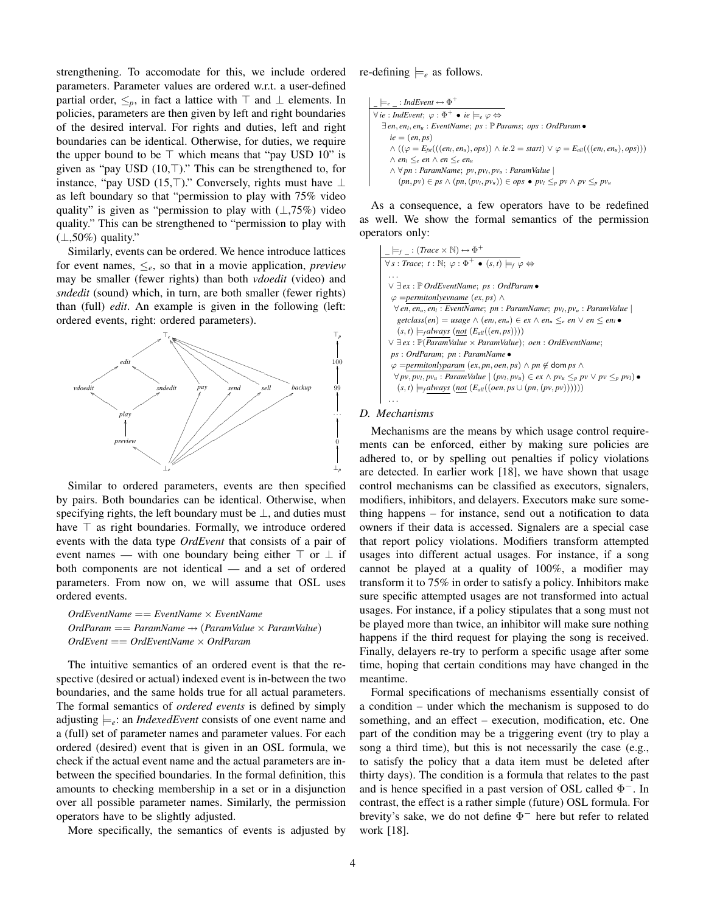strengthening. To accomodate for this, we include ordered parameters. Parameter values are ordered w.r.t. a user-defined partial order,  $\leq_p$ , in fact a lattice with  $\top$  and  $\bot$  elements. In policies, parameters are then given by left and right boundaries of the desired interval. For rights and duties, left and right boundaries can be identical. Otherwise, for duties, we require the upper bound to be  $\top$  which means that "pay USD 10" is given as "pay USD  $(10, T)$ ." This can be strengthened to, for instance, "pay USD (15,⊤)." Conversely, rights must have  $\perp$ as left boundary so that "permission to play with 75% video quality" is given as "permission to play with  $(\perp, 75\%)$  video quality." This can be strengthened to "permission to play with  $(\perp, 50\%)$  quality."

Similarly, events can be ordered. We hence introduce lattices for event names,  $\leq_e$ , so that in a movie application, *preview* may be smaller (fewer rights) than both *vdoedit* (video) and *sndedit* (sound) which, in turn, are both smaller (fewer rights) than (full) *edit*. An example is given in the following (left: ordered events, right: ordered parameters).



Similar to ordered parameters, events are then specified by pairs. Both boundaries can be identical. Otherwise, when specifying rights, the left boundary must be  $\perp$ , and duties must have  $\top$  as right boundaries. Formally, we introduce ordered events with the data type *OrdEvent* that consists of a pair of event names — with one boundary being either  $\top$  or  $\bot$  if both components are not identical — and a set of ordered parameters. From now on, we will assume that OSL uses ordered events.

*OrdEventName* == *EventName* × *EventName OrdParam* == *ParamName* 7→ (*ParamValue* × *ParamValue*) *OrdEvent* == *OrdEventName* × *OrdParam*

The intuitive semantics of an ordered event is that the respective (desired or actual) indexed event is in-between the two boundaries, and the same holds true for all actual parameters. The formal semantics of *ordered events* is defined by simply adjusting  $\models$ <sub>e</sub>: an *IndexedEvent* consists of one event name and a (full) set of parameter names and parameter values. For each ordered (desired) event that is given in an OSL formula, we check if the actual event name and the actual parameters are inbetween the specified boundaries. In the formal definition, this amounts to checking membership in a set or in a disjunction over all possible parameter names. Similarly, the permission operators have to be slightly adjusted.

More specifically, the semantics of events is adjusted by

re-defining  $\models_e$  as follows.

```
\models_e \_: IndEvent \leftrightarrow \Phi^+\forall ie : IndEvent; \varphi : \Phi^+ \bullet i e \models_e \varphi \Leftrightarrow∃ en, enl, enu : EventName; ps : P Params; ops : OrdParam •
     ie = (en, ps)∧ ((\varphi = E_{\text{fsr}}(((\text{en}_l, \text{en}_u), \text{ops})) ∧ \text{ie.2} = \text{start}) ∨ \varphi = E_{all}(((\text{en}_l, \text{en}_u), \text{ops})))∧ enl ≤e en ∧ en ≤e enu
      ∧ ∀ pn : ParamName; pv, pvl, pvu : ParamValue |
         (pn, pv) ∈ ps ∧ (pn,(pvl, pvu)) ∈ ops • pvl ≤p pv ∧ pv ≤p pvu
```
As a consequence, a few operators have to be redefined as well. We show the formal semantics of the permission operators only:



#### *D. Mechanisms*

Mechanisms are the means by which usage control requirements can be enforced, either by making sure policies are adhered to, or by spelling out penalties if policy violations are detected. In earlier work [18], we have shown that usage control mechanisms can be classified as executors, signalers, modifiers, inhibitors, and delayers. Executors make sure something happens – for instance, send out a notification to data owners if their data is accessed. Signalers are a special case that report policy violations. Modifiers transform attempted usages into different actual usages. For instance, if a song cannot be played at a quality of 100%, a modifier may transform it to 75% in order to satisfy a policy. Inhibitors make sure specific attempted usages are not transformed into actual usages. For instance, if a policy stipulates that a song must not be played more than twice, an inhibitor will make sure nothing happens if the third request for playing the song is received. Finally, delayers re-try to perform a specific usage after some time, hoping that certain conditions may have changed in the meantime.

Formal specifications of mechanisms essentially consist of a condition – under which the mechanism is supposed to do something, and an effect – execution, modification, etc. One part of the condition may be a triggering event (try to play a song a third time), but this is not necessarily the case (e.g., to satisfy the policy that a data item must be deleted after thirty days). The condition is a formula that relates to the past and is hence specified in a past version of OSL called  $\Phi^-$ . In contrast, the effect is a rather simple (future) OSL formula. For brevity's sake, we do not define  $\Phi^-$  here but refer to related work [18].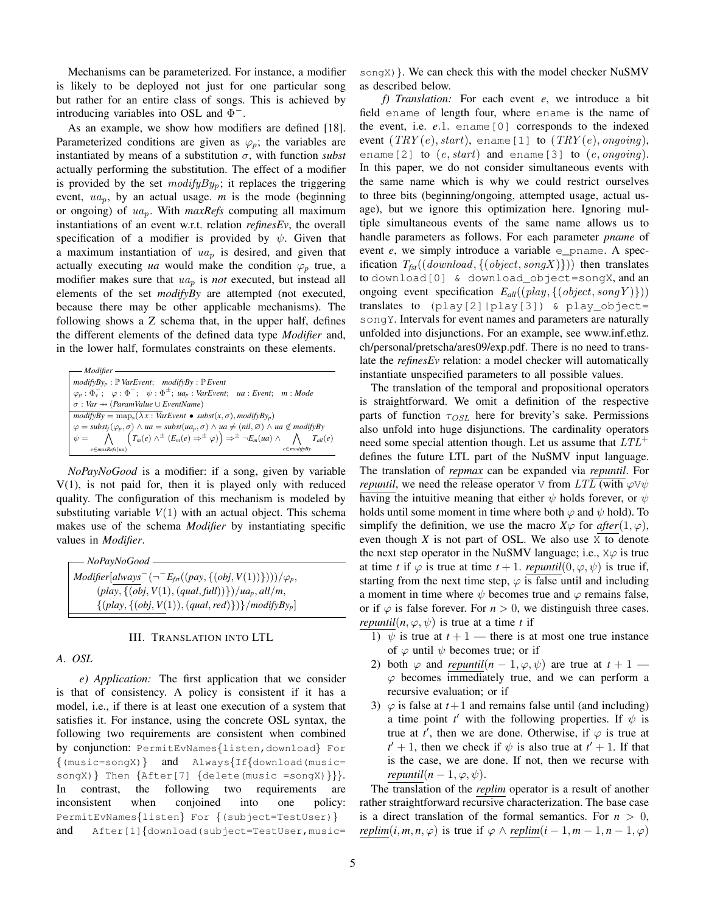Mechanisms can be parameterized. For instance, a modifier is likely to be deployed not just for one particular song but rather for an entire class of songs. This is achieved by introducing variables into OSL and  $\Phi^-$ .

As an example, we show how modifiers are defined [18]. Parameterized conditions are given as  $\varphi$ <sub>*p*</sub>; the variables are instantiated by means of a substitution  $\sigma$ , with function *subst* actually performing the substitution. The effect of a modifier is provided by the set  $modifyBy_p$ ; it replaces the triggering event,  $ua_p$ , by an actual usage. *m* is the mode (beginning or ongoing) of uap. With *maxRefs* computing all maximum instantiations of an event w.r.t. relation *refinesEv*, the overall specification of a modifier is provided by  $\psi$ . Given that a maximum instantiation of  $ua_p$  is desired, and given that actually executing *ua* would make the condition  $\varphi_p$  true, a modifier makes sure that  $ua_p$  is *not* executed, but instead all elements of the set *modifyBy* are attempted (not executed, because there may be other applicable mechanisms). The following shows a Z schema that, in the upper half, defines the different elements of the defined data type *Modifier* and, in the lower half, formulates constraints on these elements.

| — Modifier –                                                                                                                                                                                                                                                                                                                                       |
|----------------------------------------------------------------------------------------------------------------------------------------------------------------------------------------------------------------------------------------------------------------------------------------------------------------------------------------------------|
| $modifyBy_{p} : \mathbb{P}$ VarEvent; $modifyBy : \mathbb{P}$ Event                                                                                                                                                                                                                                                                                |
| $\varphi_p : \Phi_v^-; \varphi : \Phi^-; \psi : \Phi^{\pm}; \,\, u a_p : \textit{VarEvent}; \,\, u a : \textit{Event}; \,\, m : \textit{Mode}$                                                                                                                                                                                                     |
| $\sigma: Var \rightarrow (ParamValue \cup EventName)$                                                                                                                                                                                                                                                                                              |
| $modifyBy = \text{map}_{s}(\lambda x : \text{VarEvent} \bullet \text{subst}(x, \sigma), \text{modifyBy}_{p})$                                                                                                                                                                                                                                      |
|                                                                                                                                                                                                                                                                                                                                                    |
| $\varphi = \text{subst}_{f}(\varphi_{p}, \sigma) \wedge \text{ua} = \text{subst}(ua_{p}, \sigma) \wedge \text{ua} \neq (\text{nil}, \varnothing) \wedge \text{ua} \notin \text{modif}_{f}By$<br>$\psi = \bigwedge \left(T_{m}(e) \wedge^{+} (E_{m}(e) \Rightarrow^{+} \varphi) \right) \Rightarrow^{+} \neg E_{m}(ua) \wedge \bigwedge T_{all}(e)$ |
| $e \in maxRefs(ua)$<br>$e \in modifvBv$                                                                                                                                                                                                                                                                                                            |

*NoPayNoGood* is a modifier: if a song, given by variable V(1), is not paid for, then it is played only with reduced quality. The configuration of this mechanism is modeled by substituting variable  $V(1)$  with an actual object. This schema makes use of the schema *Modifier* by instantiating specific values in *Modifier*.

*NoPayNoGood*  $Modifier[always^-(-\overline{E_{fst}}((pay, \{(obj, V(1))\})))/\varphi_p,$  $(\text{play}, \{(\text{obj}, V(1), (\text{qual}, \text{full}))\})/\text{ua}_p, \text{all/m},$  $\{(play, {(obj, V(1)), (qual, red)}\})\}$ /*modifyBy<sub>p</sub>*]

## III. TRANSLATION INTO LTL

## *A. OSL*

*e) Application:* The first application that we consider is that of consistency. A policy is consistent if it has a model, i.e., if there is at least one execution of a system that satisfies it. For instance, using the concrete OSL syntax, the following two requirements are consistent when combined by conjunction: PermitEvNames{listen,download} For {(music=songX)} and Always{If{download(music= songX) } Then {After[7] {delete(music =songX) } }. In contrast, the following two requirements are inconsistent when conjoined into one policy: PermitEvNames{listen} For {(subject=TestUser)} and After[1]{download(subject=TestUser, music=

songX) }. We can check this with the model checker NuSMV as described below.

*f) Translation:* For each event *e*, we introduce a bit field ename of length four, where ename is the name of the event, i.e. *e*.1. ename[0] corresponds to the indexed event  $(TRY(e), start)$ , ename [1] to  $(TRY(e), ongoing)$ , ename[2] to  $(e, start)$  and ename[3] to  $(e, ongoing)$ . In this paper, we do not consider simultaneous events with the same name which is why we could restrict ourselves to three bits (beginning/ongoing, attempted usage, actual usage), but we ignore this optimization here. Ignoring multiple simultaneous events of the same name allows us to handle parameters as follows. For each parameter *pname* of event *e*, we simply introduce a variable e\_pname. A specification  $T_{\text{fst}}((download, \{ (object, songX) \}))$  then translates to download[0] & download\_object=songX, and an ongoing event specification  $E_{all}((play, \{(object, song Y)\}))$ translates to (play[2]|play[3]) & play\_object= songY. Intervals for event names and parameters are naturally unfolded into disjunctions. For an example, see www.inf.ethz. ch/personal/pretscha/ares09/exp.pdf. There is no need to translate the *refinesEv* relation: a model checker will automatically instantiate unspecified parameters to all possible values.

The translation of the temporal and propositional operators is straightforward. We omit a definition of the respective parts of function  $\tau_{OSL}$  here for brevity's sake. Permissions also unfold into huge disjunctions. The cardinality operators need some special attention though. Let us assume that  $LTL^{+}$ defines the future LTL part of the NuSMV input language. The translation of *repmax* can be expanded via *repuntil*. For *repuntil*, we need the release operator V from  $LTL$  (with  $\varphi \nabla \psi$ having the intuitive meaning that either  $\psi$  holds forever, or  $\psi$ holds until some moment in time where both  $\varphi$  and  $\psi$  hold). To simplify the definition, we use the macro  $X\varphi$  for  $after(1,\varphi)$ , even though  $X$  is not part of OSL. We also use  $\overline{X}$  to denote the next step operator in the NuSMV language; i.e.,  $X\varphi$  is true at time *t* if  $\varphi$  is true at time  $t + 1$ . *repuntil*(0,  $\varphi$ ,  $\psi$ ) is true if, starting from the next time step,  $\varphi$  is false until and including a moment in time where  $\psi$  becomes true and  $\varphi$  remains false, or if  $\varphi$  is false forever. For  $n > 0$ , we distinguish three cases. *repuntil*( $n, \varphi, \psi$ ) is true at a time *t* if

- 1)  $\psi$  is true at  $t + 1$  there is at most one true instance of  $\varphi$  until  $\psi$  becomes true; or if
- 2) both  $\varphi$  and *repuntil*( $n-1, \varphi, \psi$ ) are true at  $t+1$   $\varphi$  becomes immediately true, and we can perform a recursive evaluation; or if
- 3)  $\varphi$  is false at  $t+1$  and remains false until (and including) a time point  $t'$  with the following properties. If  $\psi$  is true at *t'*, then we are done. Otherwise, if  $\varphi$  is true at  $t' + 1$ , then we check if  $\psi$  is also true at  $t' + 1$ . If that is the case, we are done. If not, then we recurse with *repuntil*( $n-1, \varphi, \psi$ ).

The translation of the *replim* operator is a result of another rather straightforward recursive characterization. The base case is a direct translation of the formal semantics. For  $n > 0$ , *replim*(*i*, *m*, *n*,  $\varphi$ ) is true if  $\varphi \wedge \text{replim}(i - 1, m - 1, n - 1, \varphi)$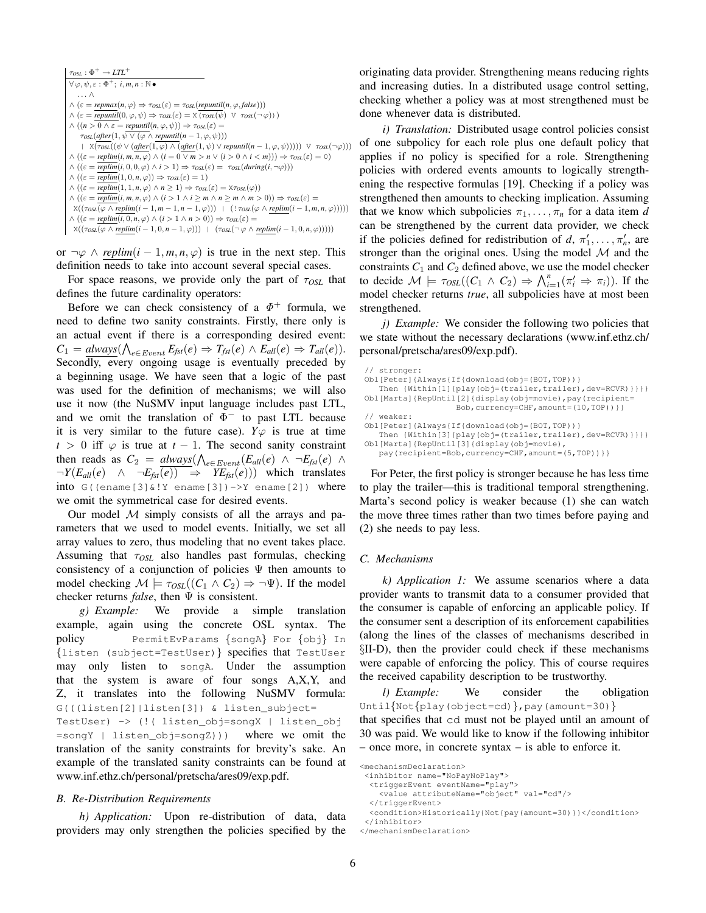```
\tau_{OSL} : \Phi^+ \rightarrow LTL^+\forall \varphi, \psi, \varepsilon : \Phi^+; i, m, n : \mathbb{N} \bullet. . . ∧
\land (\varepsilon = repmax(n, \varphi) \Rightarrow \tau_{OSL}(\varepsilon) = \tau_{OSL}(repuntil(n, \varphi, false)))
\wedge (\varepsilon = repuntil(0, \varphi, \psi) \Rightarrow \tau_{OSL}(\varepsilon) = X (\tau_{OSL}(\psi) \vee \tau_{OSL}(\neg \varphi)))
\wedge ((n > 0 \land \varepsilon = \text{repuntil}(n, \varphi, \psi)) \Rightarrow \tau_{OSL}(\varepsilon) =\tau_{OSL}(after(1, \psi \lor (\varphi \land \text{repuntil}(n-1, \varphi, \psi)))\vert X(\tau_{OSL}((\psi \lor (after(1,\varphi) \land (after(1,\psi) \lor repuntil(n-1,\varphi,\psi)))) \lor \tau_{OSL}(\neg\varphi)))\land ((\varepsilon = \text{replim}(i, m, \overline{n}, \varphi) \land (i = 0 \lor m > n \lor (i > 0 \land i < m))) \Rightarrow \tau_{OSL}(\varepsilon) = 0)\wedge ((\varepsilon = \overline{replim}(i, 0, 0, \varphi) \wedge i > 1) \Rightarrow \tau_{OSL}(\varepsilon) = \tau_{OSL}(during(i, \neg \varphi)))\land ((\varepsilon = \overline{\mathit{replim}}(1,0,n,\varphi)) \Rightarrow \tau_{\mathit{OSL}}(\varepsilon) = 1)\wedge ((\varepsilon = \overline{replim}(1, 1, n, \varphi) \wedge n \geq 1) \Rightarrow \tau_{OSL}(\varepsilon) = \overline{\text{X} \tau_{OSL}(\varphi)})\wedge ((\varepsilon = \overline{replim}(i, m, n, \varphi) \wedge (i > 1 \wedge i \geq m \wedge n \geq m \wedge m > 0)) \Rightarrow \tau_{OSL}(\varepsilon) =\textbf{X}((\text{tosh}(\varphi\land\text{replim}(i-1,m-1,n-1,\varphi)))\text{ }|\text{ }(\text{ }!\text{tosh}(\varphi\land\text{replim}(i-1,m,n,\varphi))))\text{)}\land ((\varepsilon = \text{replim}(i, 0, n, \varphi) \land (i > 1 \land n > 0)) \Rightarrow \tau_{OSL}(\varepsilon) =X((\tau_{OSL}(\varphi \wedge \text{replim}(i-1,0,n-1,\varphi))) \mid (\tau_{OSL}(\neg \varphi \wedge \text{replim}(i-1,0,n,\varphi))))
```
or  $\neg \varphi \land \text{replim}(i-1, m, n, \varphi)$  is true in the next step. This definition needs to take into account several special cases.

For space reasons, we provide only the part of  $\tau_{OSL}$  that defines the future cardinality operators:

Before we can check consistency of a  $\Phi^+$  formula, we need to define two sanity constraints. Firstly, there only is an actual event if there is a corresponding desired event:  $C_1 = \frac{always}{\bigwedge_{e \in Event} E_{fst}(e)} \Rightarrow T_{fst}(e) \land E_{all}(e) \Rightarrow T_{all}(e)$ . Secondly, every ongoing usage is eventually preceded by a beginning usage. We have seen that a logic of the past was used for the definition of mechanisms; we will also use it now (the NuSMV input language includes past LTL, and we omit the translation of  $\Phi^-$  to past LTL because it is very similar to the future case).  $Y\varphi$  is true at time  $t > 0$  iff  $\varphi$  is true at  $t - 1$ . The second sanity constraint then reads as  $C_2 = \frac{always}{\sqrt{e^{-Event}}}(E_{all}(e) \land \neg E_{fst}(e) \land \neg E_{j}$  $\neg Y(E_{all}(e) \land \neg E_{fst}(e)) \Rightarrow YE_{fst}(e))$  which translates into  $G($ (ename[3]&!Y ename[3])->Y ename[2]) where we omit the symmetrical case for desired events.

Our model  $M$  simply consists of all the arrays and parameters that we used to model events. Initially, we set all array values to zero, thus modeling that no event takes place. Assuming that  $\tau_{OSL}$  also handles past formulas, checking consistency of a conjunction of policies  $\Psi$  then amounts to model checking  $\mathcal{M} \models \tau_{OSL}((C_1 \wedge C_2) \Rightarrow \neg \Psi)$ . If the model checker returns *false*, then Ψ is consistent.

*g) Example:* We provide a simple translation example, again using the concrete OSL syntax. The policy PermitEvParams {songA} For {obj} In {listen (subject=TestUser)} specifies that TestUser may only listen to songA. Under the assumption that the system is aware of four songs A,X,Y, and Z, it translates into the following NuSMV formula: G(((listen[2]|listen[3]) & listen\_subject=

TestUser) -> (!( listen\_obj=songX | listen\_obj =songY | listen\_obj=songZ))) where we omit the translation of the sanity constraints for brevity's sake. An example of the translated sanity constraints can be found at www.inf.ethz.ch/personal/pretscha/ares09/exp.pdf.

#### *B. Re-Distribution Requirements*

*h) Application:* Upon re-distribution of data, data providers may only strengthen the policies specified by the originating data provider. Strengthening means reducing rights and increasing duties. In a distributed usage control setting, checking whether a policy was at most strengthened must be done whenever data is distributed.

*i) Translation:* Distributed usage control policies consist of one subpolicy for each role plus one default policy that applies if no policy is specified for a role. Strengthening policies with ordered events amounts to logically strengthening the respective formulas [19]. Checking if a policy was strengthened then amounts to checking implication. Assuming that we know which subpolicies  $\pi_1, \ldots, \pi_n$  for a data item *d* can be strengthened by the current data provider, we check if the policies defined for redistribution of  $d, \pi'_1, \ldots, \pi'_n$ , are stronger than the original ones. Using the model  $M$  and the constraints  $C_1$  and  $C_2$  defined above, we use the model checker to decide  $\mathcal{M} \models \tau_{OSL}((C_1 \land C_2) \Rightarrow \bigwedge_{i=1}^n (\pi'_i \Rightarrow \pi_i)).$  If the model checker returns *true*, all subpolicies have at most been strengthened.

*j) Example:* We consider the following two policies that we state without the necessary declarations (www.inf.ethz.ch/ personal/pretscha/ares09/exp.pdf).

```
// stronger:
Obl[Peter]{Always{If{download(obj=(BOT,TOP))}
  Then {Within[1]{play(obj=(trailer,trailer),dev=RCVR)}}}}
Obl[Marta]{RepUntil[2]{display(obj=movie),pay(recipient=
                   Bob,currency=CHF,amount=(10,TOP))}}
 // weaker:
Obl[Peter]{Always{If{download(obj=(BOT,TOP))}
   Then {Within[3]{play(obj=(trailer,trailer),dev=RCVR)}}}}
Obl[Marta]{RepUntil[3]{display(obj=movie),
  pay(recipient=Bob,currency=CHF,amount=(5,TOP))}}
```
For Peter, the first policy is stronger because he has less time to play the trailer—this is traditional temporal strengthening. Marta's second policy is weaker because (1) she can watch the move three times rather than two times before paying and (2) she needs to pay less.

#### *C. Mechanisms*

*k) Application 1:* We assume scenarios where a data provider wants to transmit data to a consumer provided that the consumer is capable of enforcing an applicable policy. If the consumer sent a description of its enforcement capabilities (along the lines of the classes of mechanisms described in §II-D), then the provider could check if these mechanisms were capable of enforcing the policy. This of course requires the received capability description to be trustworthy.

*l) Example:* We consider the obligation Until{Not{play(object=cd)},pay(amount=30)} that specifies that cd must not be played until an amount of 30 was paid. We would like to know if the following inhibitor – once more, in concrete syntax – is able to enforce it.

```
<mechanismDeclaration>
```

```
<inhibitor name="NoPayNoPlay">
```

```
<triggerEvent eventName="play">
```

```
<value attributeName="object" val="cd"/>
</triggerEvent>
```

```
<condition>Historically{Not{pay(amount=30)}}</condition>
</inhibitor>
```

```
</mechanismDeclaration>
```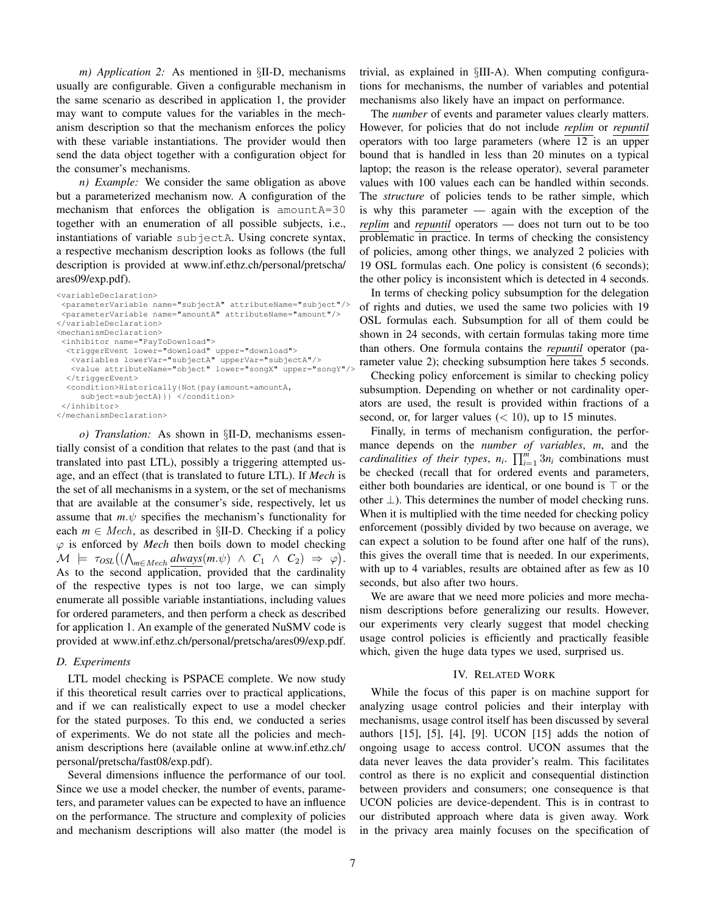*m) Application 2:* As mentioned in §II-D, mechanisms usually are configurable. Given a configurable mechanism in the same scenario as described in application 1, the provider may want to compute values for the variables in the mechanism description so that the mechanism enforces the policy with these variable instantiations. The provider would then send the data object together with a configuration object for the consumer's mechanisms.

*n) Example:* We consider the same obligation as above but a parameterized mechanism now. A configuration of the mechanism that enforces the obligation is amountA=30 together with an enumeration of all possible subjects, i.e., instantiations of variable subjectA. Using concrete syntax, a respective mechanism description looks as follows (the full description is provided at www.inf.ethz.ch/personal/pretscha/ ares09/exp.pdf).

```
<variableDeclaration>
 <parameterVariable name="subjectA" attributeName="subject"/>
 <parameterVariable name="amountA" attributeName="amount"/>
</variableDeclaration>
<mechanismDeclaration>
 <inhibitor name="PayToDownload">
  <triggerEvent lower="download" upper="download">
   <variables lowerVar="subjectA" upperVar="subjectA"/>
  <value attributeName="object" lower="songX" upper="songY"/>
  </triggerEvent>
  <condition>Historically{Not{pay(amount=amountA,
    subject=subjectA)}} </condition>
</inhibitor>
</mechanismDeclaration>
```
*o) Translation:* As shown in §II-D, mechanisms essentially consist of a condition that relates to the past (and that is translated into past LTL), possibly a triggering attempted usage, and an effect (that is translated to future LTL). If *Mech* is the set of all mechanisms in a system, or the set of mechanisms that are available at the consumer's side, respectively, let us assume that  $m.\psi$  specifies the mechanism's functionality for each  $m \in \text{Mech}$ , as described in §II-D. Checking if a policy  $\varphi$  is enforced by *Mech* then boils down to model checking  $\mathcal{M}$   $\models \tau_{OSL}((\bigwedge_{m \in \text{Mech}} \underline{always}(m.\psi) \land C_1 \land C_2) \Rightarrow \varphi).$ As to the second application, provided that the cardinality of the respective types is not too large, we can simply enumerate all possible variable instantiations, including values for ordered parameters, and then perform a check as described for application 1. An example of the generated NuSMV code is provided at www.inf.ethz.ch/personal/pretscha/ares09/exp.pdf.

## *D. Experiments*

LTL model checking is PSPACE complete. We now study if this theoretical result carries over to practical applications, and if we can realistically expect to use a model checker for the stated purposes. To this end, we conducted a series of experiments. We do not state all the policies and mechanism descriptions here (available online at www.inf.ethz.ch/ personal/pretscha/fast08/exp.pdf).

Several dimensions influence the performance of our tool. Since we use a model checker, the number of events, parameters, and parameter values can be expected to have an influence on the performance. The structure and complexity of policies and mechanism descriptions will also matter (the model is trivial, as explained in §III-A). When computing configurations for mechanisms, the number of variables and potential mechanisms also likely have an impact on performance.

The *number* of events and parameter values clearly matters. However, for policies that do not include *replim* or *repuntil* operators with too large parameters (where 12 is an upper bound that is handled in less than 20 minutes on a typical laptop; the reason is the release operator), several parameter values with 100 values each can be handled within seconds. The *structure* of policies tends to be rather simple, which is why this parameter — again with the exception of the *replim* and *repuntil* operators — does not turn out to be too problematic in practice. In terms of checking the consistency of policies, among other things, we analyzed 2 policies with 19 OSL formulas each. One policy is consistent (6 seconds); the other policy is inconsistent which is detected in 4 seconds.

In terms of checking policy subsumption for the delegation of rights and duties, we used the same two policies with 19 OSL formulas each. Subsumption for all of them could be shown in 24 seconds, with certain formulas taking more time than others. One formula contains the *repuntil* operator (parameter value 2); checking subsumption here takes 5 seconds.

Checking policy enforcement is similar to checking policy subsumption. Depending on whether or not cardinality operators are used, the result is provided within fractions of a second, or, for larger values  $(< 10$ ), up to 15 minutes.

Finally, in terms of mechanism configuration, the performance depends on the *number of variables*, *m*, and the *cardinalities of their types,*  $n_i$ *.*  $\prod_{i=1}^m 3n_i$  combinations must be checked (recall that for ordered events and parameters, either both boundaries are identical, or one bound is  $\top$  or the other  $\perp$ ). This determines the number of model checking runs. When it is multiplied with the time needed for checking policy enforcement (possibly divided by two because on average, we can expect a solution to be found after one half of the runs), this gives the overall time that is needed. In our experiments, with up to 4 variables, results are obtained after as few as 10 seconds, but also after two hours.

We are aware that we need more policies and more mechanism descriptions before generalizing our results. However, our experiments very clearly suggest that model checking usage control policies is efficiently and practically feasible which, given the huge data types we used, surprised us.

## IV. RELATED WORK

While the focus of this paper is on machine support for analyzing usage control policies and their interplay with mechanisms, usage control itself has been discussed by several authors [15], [5], [4], [9]. UCON [15] adds the notion of ongoing usage to access control. UCON assumes that the data never leaves the data provider's realm. This facilitates control as there is no explicit and consequential distinction between providers and consumers; one consequence is that UCON policies are device-dependent. This is in contrast to our distributed approach where data is given away. Work in the privacy area mainly focuses on the specification of